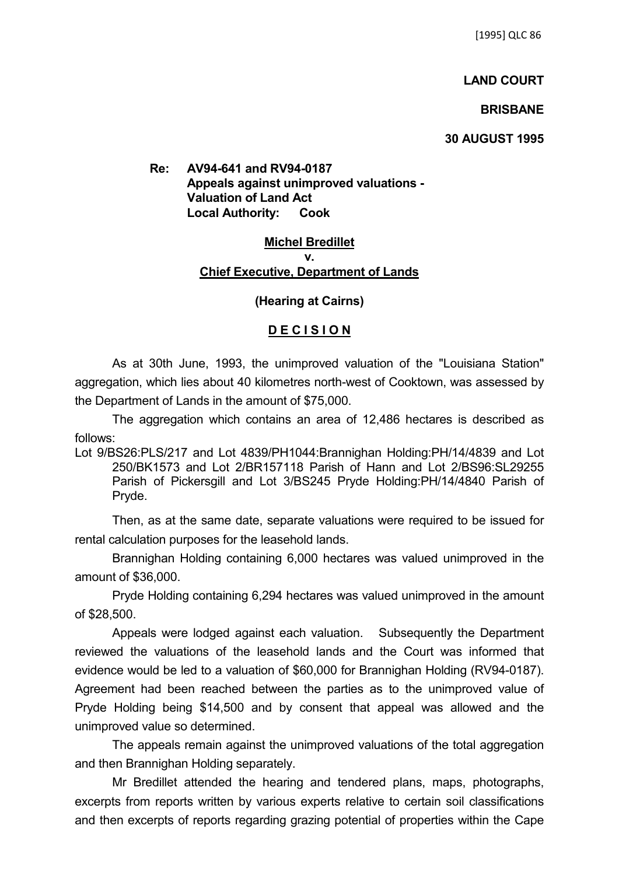## **LAND COURT**

## **BRISBANE**

## **30 AUGUST 1995**

**Re: AV94-641 and RV94-0187 Appeals against unimproved valuations - Valuation of Land Act Local Authority: Cook**

# **Michel Bredillet v. Chief Executive, Department of Lands**

### **(Hearing at Cairns)**

#### **D E C I S I O N**

As at 30th June, 1993, the unimproved valuation of the "Louisiana Station" aggregation, which lies about 40 kilometres north-west of Cooktown, was assessed by the Department of Lands in the amount of \$75,000.

The aggregation which contains an area of 12,486 hectares is described as follows:

Lot 9/BS26:PLS/217 and Lot 4839/PH1044:Brannighan Holding:PH/14/4839 and Lot 250/BK1573 and Lot 2/BR157118 Parish of Hann and Lot 2/BS96:SL29255 Parish of Pickersgill and Lot 3/BS245 Pryde Holding:PH/14/4840 Parish of Pryde.

Then, as at the same date, separate valuations were required to be issued for rental calculation purposes for the leasehold lands.

Brannighan Holding containing 6,000 hectares was valued unimproved in the amount of \$36,000.

Pryde Holding containing 6,294 hectares was valued unimproved in the amount of \$28,500.

Appeals were lodged against each valuation. Subsequently the Department reviewed the valuations of the leasehold lands and the Court was informed that evidence would be led to a valuation of \$60,000 for Brannighan Holding (RV94-0187). Agreement had been reached between the parties as to the unimproved value of Pryde Holding being \$14,500 and by consent that appeal was allowed and the unimproved value so determined.

The appeals remain against the unimproved valuations of the total aggregation and then Brannighan Holding separately.

Mr Bredillet attended the hearing and tendered plans, maps, photographs, excerpts from reports written by various experts relative to certain soil classifications and then excerpts of reports regarding grazing potential of properties within the Cape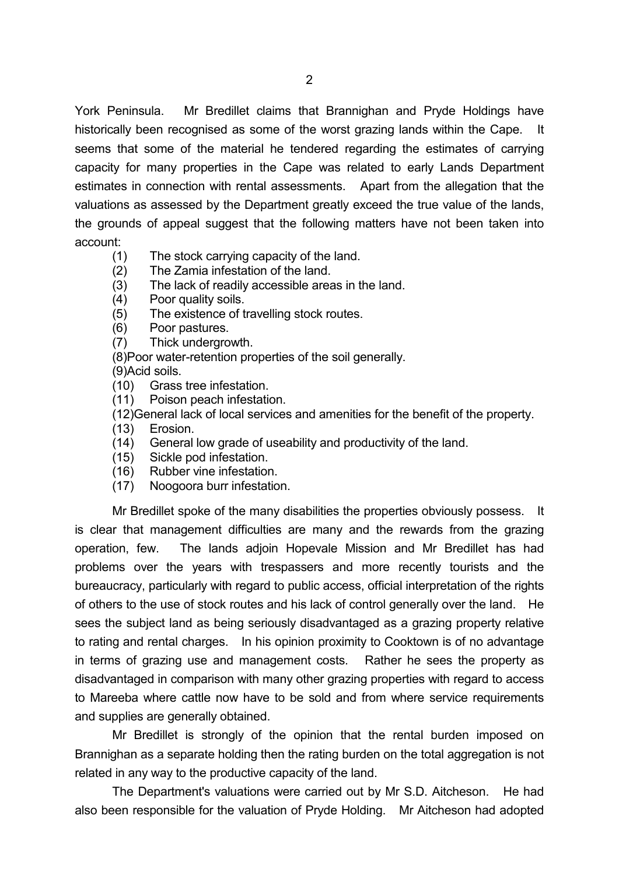York Peninsula. Mr Bredillet claims that Brannighan and Pryde Holdings have historically been recognised as some of the worst grazing lands within the Cape. It seems that some of the material he tendered regarding the estimates of carrying capacity for many properties in the Cape was related to early Lands Department estimates in connection with rental assessments. Apart from the allegation that the valuations as assessed by the Department greatly exceed the true value of the lands, the grounds of appeal suggest that the following matters have not been taken into account:

- (1) The stock carrying capacity of the land.
- (2) The Zamia infestation of the land.
- (3) The lack of readily accessible areas in the land.
- (4) Poor quality soils.
- (5) The existence of travelling stock routes.
- (6) Poor pastures.
- (7) Thick undergrowth.
- (8)Poor water-retention properties of the soil generally.
- (9)Acid soils.
- (10) Grass tree infestation.
- (11) Poison peach infestation.
- (12)General lack of local services and amenities for the benefit of the property.
- (13) Erosion.
- (14) General low grade of useability and productivity of the land.
- (15) Sickle pod infestation.
- (16) Rubber vine infestation.
- (17) Noogoora burr infestation.

Mr Bredillet spoke of the many disabilities the properties obviously possess. It is clear that management difficulties are many and the rewards from the grazing operation, few. The lands adjoin Hopevale Mission and Mr Bredillet has had problems over the years with trespassers and more recently tourists and the bureaucracy, particularly with regard to public access, official interpretation of the rights of others to the use of stock routes and his lack of control generally over the land. He sees the subject land as being seriously disadvantaged as a grazing property relative to rating and rental charges. In his opinion proximity to Cooktown is of no advantage in terms of grazing use and management costs. Rather he sees the property as disadvantaged in comparison with many other grazing properties with regard to access to Mareeba where cattle now have to be sold and from where service requirements and supplies are generally obtained.

Mr Bredillet is strongly of the opinion that the rental burden imposed on Brannighan as a separate holding then the rating burden on the total aggregation is not related in any way to the productive capacity of the land.

The Department's valuations were carried out by Mr S.D. Aitcheson. He had also been responsible for the valuation of Pryde Holding. Mr Aitcheson had adopted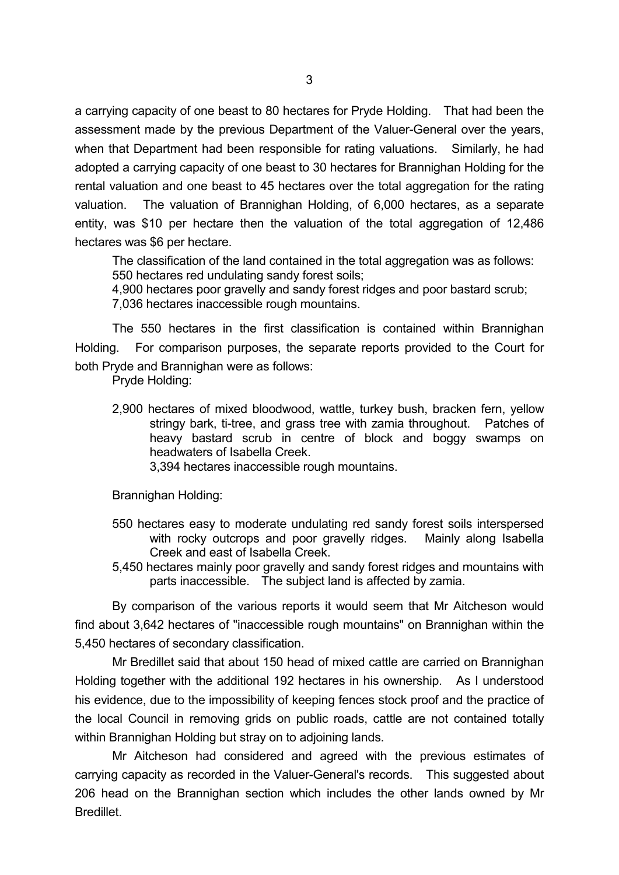a carrying capacity of one beast to 80 hectares for Pryde Holding. That had been the assessment made by the previous Department of the Valuer-General over the years, when that Department had been responsible for rating valuations. Similarly, he had adopted a carrying capacity of one beast to 30 hectares for Brannighan Holding for the rental valuation and one beast to 45 hectares over the total aggregation for the rating valuation. The valuation of Brannighan Holding, of 6,000 hectares, as a separate entity, was \$10 per hectare then the valuation of the total aggregation of 12,486 hectares was \$6 per hectare.

The classification of the land contained in the total aggregation was as follows: 550 hectares red undulating sandy forest soils;

4,900 hectares poor gravelly and sandy forest ridges and poor bastard scrub; 7,036 hectares inaccessible rough mountains.

The 550 hectares in the first classification is contained within Brannighan Holding. For comparison purposes, the separate reports provided to the Court for both Pryde and Brannighan were as follows:

Pryde Holding:

2,900 hectares of mixed bloodwood, wattle, turkey bush, bracken fern, yellow stringy bark, ti-tree, and grass tree with zamia throughout. Patches of heavy bastard scrub in centre of block and boggy swamps on headwaters of Isabella Creek.

3,394 hectares inaccessible rough mountains.

Brannighan Holding:

- 550 hectares easy to moderate undulating red sandy forest soils interspersed with rocky outcrops and poor gravelly ridges. Mainly along Isabella Creek and east of Isabella Creek.
- 5,450 hectares mainly poor gravelly and sandy forest ridges and mountains with parts inaccessible. The subject land is affected by zamia.

By comparison of the various reports it would seem that Mr Aitcheson would find about 3,642 hectares of "inaccessible rough mountains" on Brannighan within the 5,450 hectares of secondary classification.

Mr Bredillet said that about 150 head of mixed cattle are carried on Brannighan Holding together with the additional 192 hectares in his ownership. As I understood his evidence, due to the impossibility of keeping fences stock proof and the practice of the local Council in removing grids on public roads, cattle are not contained totally within Brannighan Holding but stray on to adjoining lands.

Mr Aitcheson had considered and agreed with the previous estimates of carrying capacity as recorded in the Valuer-General's records. This suggested about 206 head on the Brannighan section which includes the other lands owned by Mr Bredillet.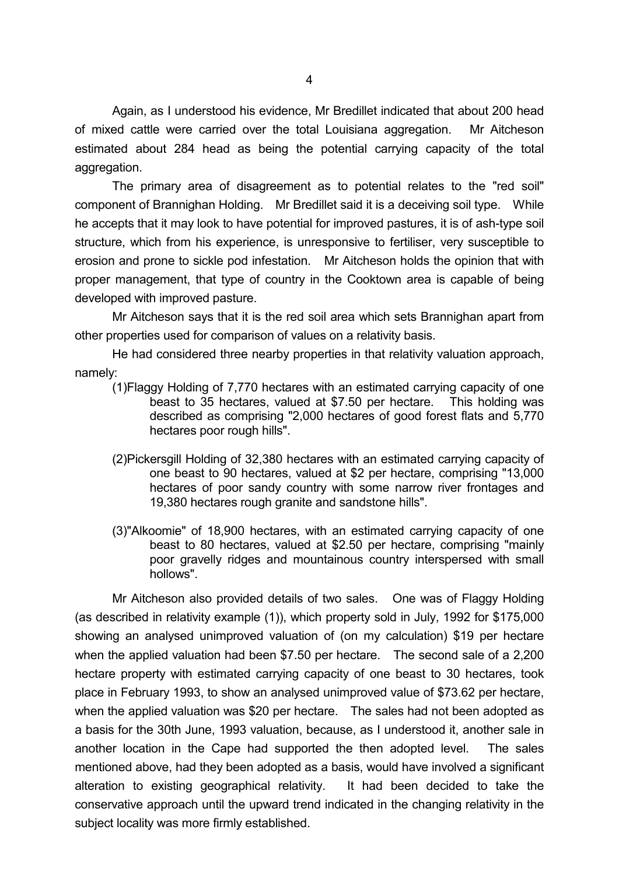Again, as I understood his evidence, Mr Bredillet indicated that about 200 head of mixed cattle were carried over the total Louisiana aggregation. Mr Aitcheson estimated about 284 head as being the potential carrying capacity of the total aggregation.

The primary area of disagreement as to potential relates to the "red soil" component of Brannighan Holding. Mr Bredillet said it is a deceiving soil type. While he accepts that it may look to have potential for improved pastures, it is of ash-type soil structure, which from his experience, is unresponsive to fertiliser, very susceptible to erosion and prone to sickle pod infestation. Mr Aitcheson holds the opinion that with proper management, that type of country in the Cooktown area is capable of being developed with improved pasture.

Mr Aitcheson says that it is the red soil area which sets Brannighan apart from other properties used for comparison of values on a relativity basis.

He had considered three nearby properties in that relativity valuation approach, namely:

- (1)Flaggy Holding of 7,770 hectares with an estimated carrying capacity of one beast to 35 hectares, valued at \$7.50 per hectare. This holding was described as comprising "2,000 hectares of good forest flats and 5,770 hectares poor rough hills".
- (2)Pickersgill Holding of 32,380 hectares with an estimated carrying capacity of one beast to 90 hectares, valued at \$2 per hectare, comprising "13,000 hectares of poor sandy country with some narrow river frontages and 19,380 hectares rough granite and sandstone hills".
- (3)"Alkoomie" of 18,900 hectares, with an estimated carrying capacity of one beast to 80 hectares, valued at \$2.50 per hectare, comprising "mainly poor gravelly ridges and mountainous country interspersed with small hollows".

Mr Aitcheson also provided details of two sales. One was of Flaggy Holding (as described in relativity example (1)), which property sold in July, 1992 for \$175,000 showing an analysed unimproved valuation of (on my calculation) \$19 per hectare when the applied valuation had been \$7.50 per hectare. The second sale of a 2,200 hectare property with estimated carrying capacity of one beast to 30 hectares, took place in February 1993, to show an analysed unimproved value of \$73.62 per hectare, when the applied valuation was \$20 per hectare. The sales had not been adopted as a basis for the 30th June, 1993 valuation, because, as I understood it, another sale in another location in the Cape had supported the then adopted level. The sales mentioned above, had they been adopted as a basis, would have involved a significant alteration to existing geographical relativity. It had been decided to take the conservative approach until the upward trend indicated in the changing relativity in the subject locality was more firmly established.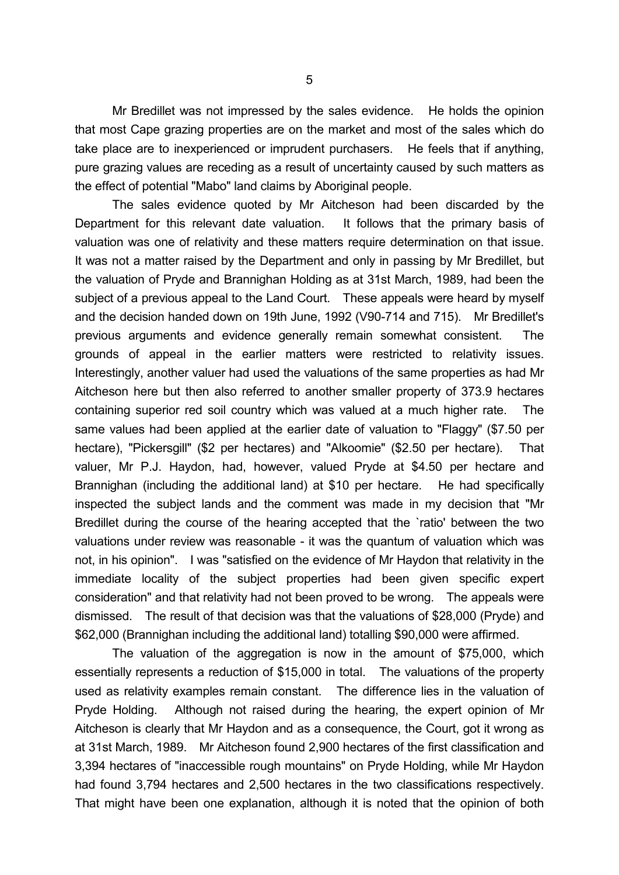Mr Bredillet was not impressed by the sales evidence. He holds the opinion that most Cape grazing properties are on the market and most of the sales which do take place are to inexperienced or imprudent purchasers. He feels that if anything, pure grazing values are receding as a result of uncertainty caused by such matters as the effect of potential "Mabo" land claims by Aboriginal people.

The sales evidence quoted by Mr Aitcheson had been discarded by the Department for this relevant date valuation. It follows that the primary basis of valuation was one of relativity and these matters require determination on that issue. It was not a matter raised by the Department and only in passing by Mr Bredillet, but the valuation of Pryde and Brannighan Holding as at 31st March, 1989, had been the subject of a previous appeal to the Land Court. These appeals were heard by myself and the decision handed down on 19th June, 1992 (V90-714 and 715). Mr Bredillet's previous arguments and evidence generally remain somewhat consistent. The grounds of appeal in the earlier matters were restricted to relativity issues. Interestingly, another valuer had used the valuations of the same properties as had Mr Aitcheson here but then also referred to another smaller property of 373.9 hectares containing superior red soil country which was valued at a much higher rate. The same values had been applied at the earlier date of valuation to "Flaggy" (\$7.50 per hectare), "Pickersgill" (\$2 per hectares) and "Alkoomie" (\$2.50 per hectare). That valuer, Mr P.J. Haydon, had, however, valued Pryde at \$4.50 per hectare and Brannighan (including the additional land) at \$10 per hectare. He had specifically inspected the subject lands and the comment was made in my decision that "Mr Bredillet during the course of the hearing accepted that the `ratio' between the two valuations under review was reasonable - it was the quantum of valuation which was not, in his opinion". I was "satisfied on the evidence of Mr Haydon that relativity in the immediate locality of the subject properties had been given specific expert consideration" and that relativity had not been proved to be wrong. The appeals were dismissed. The result of that decision was that the valuations of \$28,000 (Pryde) and \$62,000 (Brannighan including the additional land) totalling \$90,000 were affirmed.

The valuation of the aggregation is now in the amount of \$75,000, which essentially represents a reduction of \$15,000 in total. The valuations of the property used as relativity examples remain constant. The difference lies in the valuation of Pryde Holding. Although not raised during the hearing, the expert opinion of Mr Aitcheson is clearly that Mr Haydon and as a consequence, the Court, got it wrong as at 31st March, 1989. Mr Aitcheson found 2,900 hectares of the first classification and 3,394 hectares of "inaccessible rough mountains" on Pryde Holding, while Mr Haydon had found 3,794 hectares and 2,500 hectares in the two classifications respectively. That might have been one explanation, although it is noted that the opinion of both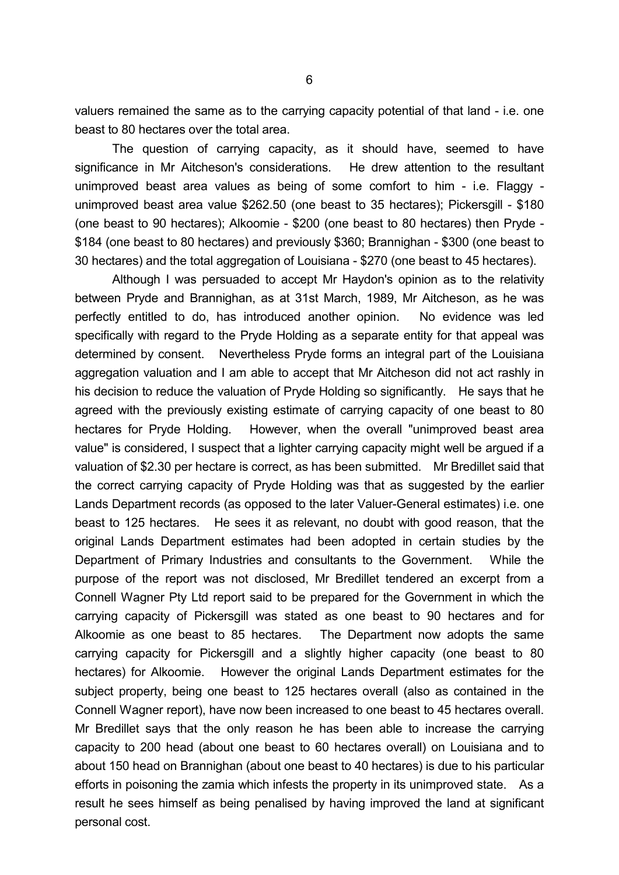valuers remained the same as to the carrying capacity potential of that land - i.e. one beast to 80 hectares over the total area.

The question of carrying capacity, as it should have, seemed to have significance in Mr Aitcheson's considerations. He drew attention to the resultant unimproved beast area values as being of some comfort to him - i.e. Flaggy unimproved beast area value \$262.50 (one beast to 35 hectares); Pickersgill - \$180 (one beast to 90 hectares); Alkoomie - \$200 (one beast to 80 hectares) then Pryde - \$184 (one beast to 80 hectares) and previously \$360; Brannighan - \$300 (one beast to 30 hectares) and the total aggregation of Louisiana - \$270 (one beast to 45 hectares).

Although I was persuaded to accept Mr Haydon's opinion as to the relativity between Pryde and Brannighan, as at 31st March, 1989, Mr Aitcheson, as he was perfectly entitled to do, has introduced another opinion. No evidence was led specifically with regard to the Pryde Holding as a separate entity for that appeal was determined by consent. Nevertheless Pryde forms an integral part of the Louisiana aggregation valuation and I am able to accept that Mr Aitcheson did not act rashly in his decision to reduce the valuation of Pryde Holding so significantly. He says that he agreed with the previously existing estimate of carrying capacity of one beast to 80 hectares for Pryde Holding. However, when the overall "unimproved beast area value" is considered, I suspect that a lighter carrying capacity might well be argued if a valuation of \$2.30 per hectare is correct, as has been submitted. Mr Bredillet said that the correct carrying capacity of Pryde Holding was that as suggested by the earlier Lands Department records (as opposed to the later Valuer-General estimates) i.e. one beast to 125 hectares. He sees it as relevant, no doubt with good reason, that the original Lands Department estimates had been adopted in certain studies by the Department of Primary Industries and consultants to the Government. While the purpose of the report was not disclosed, Mr Bredillet tendered an excerpt from a Connell Wagner Pty Ltd report said to be prepared for the Government in which the carrying capacity of Pickersgill was stated as one beast to 90 hectares and for Alkoomie as one beast to 85 hectares. The Department now adopts the same carrying capacity for Pickersgill and a slightly higher capacity (one beast to 80 hectares) for Alkoomie. However the original Lands Department estimates for the subject property, being one beast to 125 hectares overall (also as contained in the Connell Wagner report), have now been increased to one beast to 45 hectares overall. Mr Bredillet says that the only reason he has been able to increase the carrying capacity to 200 head (about one beast to 60 hectares overall) on Louisiana and to about 150 head on Brannighan (about one beast to 40 hectares) is due to his particular efforts in poisoning the zamia which infests the property in its unimproved state. As a result he sees himself as being penalised by having improved the land at significant personal cost.